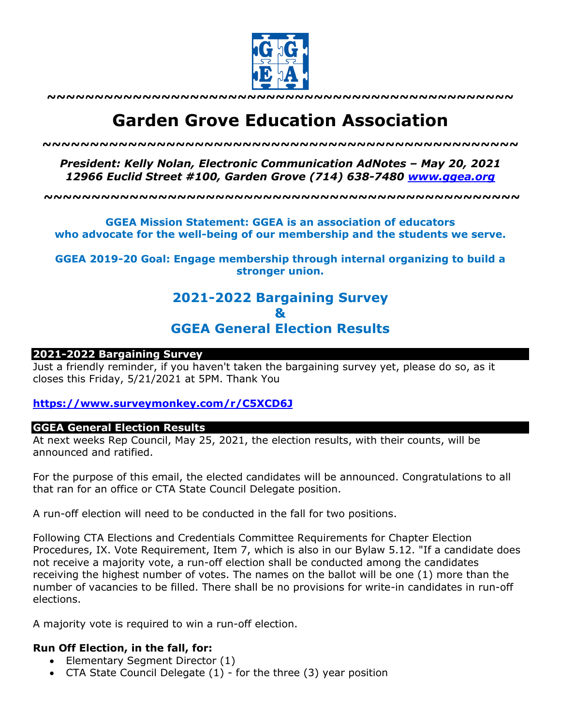

**~~~~~~~~~~~~~~~~~~~~~~~~~~~~~~~~~~~~~~~~~~~~~~~~~**

# **Garden Grove Education Association**

*~~~~~~~~~~~~~~~~~~~~~~~~~~~~~~~~~~~~~~~~~~~~~~~~~~*

*President: Kelly Nolan, Electronic Communication AdNotes – May 20, 2021 12966 Euclid Street #100, Garden Grove (714) 638-7480 www.ggea.org*

**~~~~~~~~~~~~~~~~~~~~~~~~~~~~~~~~~~~~~~~~~~~~~~~~~~**

**GGEA Mission Statement: GGEA is an association of educators who advocate for the well-being of our membership and the students we serve.**

**GGEA 2019-20 Goal: Engage membership through internal organizing to build a stronger union.**

# **2021-2022 Bargaining Survey & GGEA General Election Results**

#### **2021-2022 Bargaining Survey**

Just a friendly reminder, if you haven't taken the bargaining survey yet, please do so, as it closes this Friday, 5/21/2021 at 5PM. Thank You

**https://www.surveymonkey.com/r/C5XCD6J**

#### **GGEA General Election Results**

At next weeks Rep Council, May 25, 2021, the election results, with their counts, will be announced and ratified.

For the purpose of this email, the elected candidates will be announced. Congratulations to all that ran for an office or CTA State Council Delegate position.

A run-off election will need to be conducted in the fall for two positions.

Following CTA Elections and Credentials Committee Requirements for Chapter Election Procedures, IX. Vote Requirement, Item 7, which is also in our Bylaw 5.12. "If a candidate does not receive a majority vote, a run-off election shall be conducted among the candidates receiving the highest number of votes. The names on the ballot will be one (1) more than the number of vacancies to be filled. There shall be no provisions for write-in candidates in run-off elections.

A majority vote is required to win a run-off election.

#### **Run Off Election, in the fall, for:**

- Elementary Segment Director (1)
- CTA State Council Delegate (1) for the three (3) year position